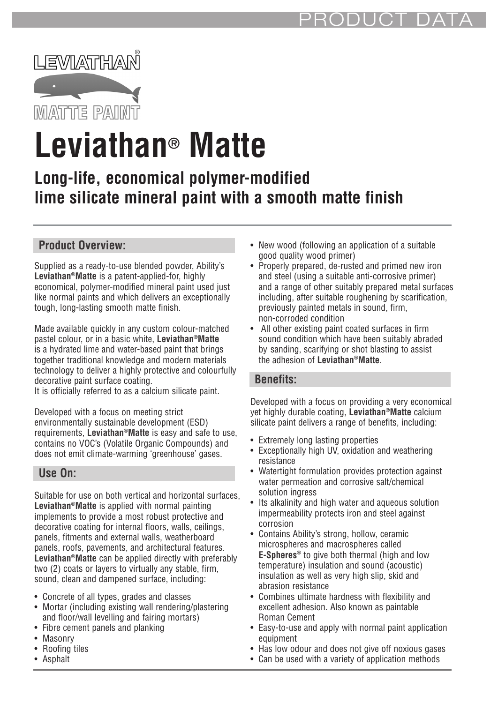

# **Leviathan® Matte**

# **Long-life, economical polymer-modified lime silicate mineral paint with a smooth matte finish**

# **Product Overview:**

Supplied as a ready-to-use blended powder, Ability's **Leviathan®Matte** is a patent-applied-for, highly economical, polymer-modified mineral paint used just like normal paints and which delivers an exceptionally tough, long-lasting smooth matte finish.

Made available quickly in any custom colour-matched pastel colour, or in a basic white, **Leviathan®Matte** is a hydrated lime and water-based paint that brings together traditional knowledge and modern materials technology to deliver a highly protective and colourfully decorative paint surface coating.

It is officially referred to as a calcium silicate paint.

Developed with a focus on meeting strict environmentally sustainable development (ESD) requirements, **Leviathan®Matte** is easy and safe to use, contains no VOC's (Volatile Organic Compounds) and does not emit climate-warming 'greenhouse' gases.

#### **Use On:**

Suitable for use on both vertical and horizontal surfaces, **Leviathan®Matte** is applied with normal painting implements to provide a most robust protective and decorative coating for internal floors, walls, ceilings, panels, fitments and external walls, weatherboard panels, roofs, pavements, and architectural features. **Leviathan®Matte** can be applied directly with preferably two (2) coats or layers to virtually any stable, firm, sound, clean and dampened surface, including:

- Concrete of all types, grades and classes
- Mortar (including existing wall rendering/plastering and floor/wall levelling and fairing mortars)
- Fibre cement panels and planking
- Masonry
- Roofing tiles
- Asphalt
- New wood (following an application of a suitable good quality wood primer)
- Properly prepared, de-rusted and primed new iron and steel (using a suitable anti-corrosive primer) and a range of other suitably prepared metal surfaces including, after suitable roughening by scarification, previously painted metals in sound, firm, non-corroded condition
- All other existing paint coated surfaces in firm sound condition which have been suitably abraded by sanding, scarifying or shot blasting to assist the adhesion of **Leviathan®Matte**.

#### **Benefits:**

Developed with a focus on providing a very economical yet highly durable coating, **Leviathan®Matte** calcium silicate paint delivers a range of benefits, including:

- Extremely long lasting properties
- Exceptionally high UV, oxidation and weathering resistance
- Watertight formulation provides protection against water permeation and corrosive salt/chemical solution ingress
- Its alkalinity and high water and aqueous solution impermeability protects iron and steel against corrosion
- Contains Ability's strong, hollow, ceramic microspheres and macrospheres called **E-Spheres®** to give both thermal (high and low temperature) insulation and sound (acoustic) insulation as well as very high slip, skid and abrasion resistance
- Combines ultimate hardness with flexibility and excellent adhesion. Also known as paintable Roman Cement
- Easy-to-use and apply with normal paint application equipment
- Has low odour and does not give off noxious gases
- Can be used with a variety of application methods